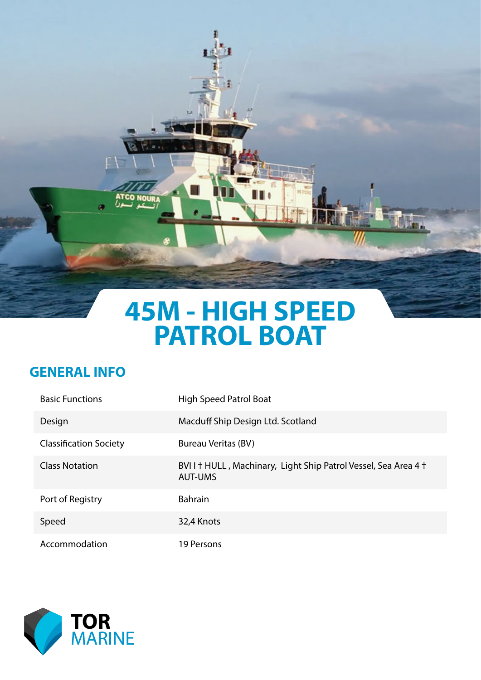# **45M - HIGH SPEED PATROL BOAT**

the

Ĩ

#### **GENERAL INFO**

L.

**NOURA** 

| <b>Basic Functions</b>        | High Speed Patrol Boat                                                           |
|-------------------------------|----------------------------------------------------------------------------------|
| Design                        | Macduff Ship Design Ltd. Scotland                                                |
| <b>Classification Society</b> | Bureau Veritas (BV)                                                              |
| <b>Class Notation</b>         | BVII + HULL, Machinary, Light Ship Patrol Vessel, Sea Area 4 +<br><b>AUT-UMS</b> |
| Port of Registry              | <b>Bahrain</b>                                                                   |
| Speed                         | 32,4 Knots                                                                       |
| Accommodation                 | 19 Persons                                                                       |

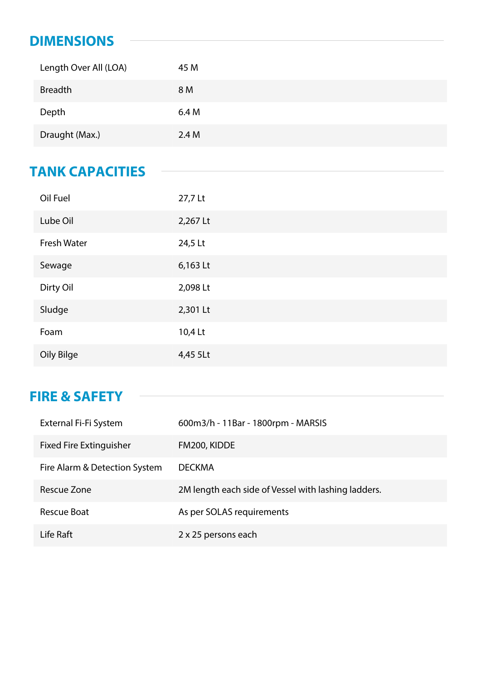### **DIMENSIONS**

| Length Over All (LOA) | 45 M  |
|-----------------------|-------|
| <b>Breadth</b>        | 8 M   |
| Depth                 | 6.4 M |
| Draught (Max.)        | 2.4M  |

### **TANK CAPACITIES**

| Oil Fuel           | 27,7 Lt  |
|--------------------|----------|
| Lube Oil           | 2,267 Lt |
| <b>Fresh Water</b> | 24,5 Lt  |
| Sewage             | 6,163 Lt |
| Dirty Oil          | 2,098 Lt |
| Sludge             | 2,301 Lt |
| Foam               | 10,4 Lt  |
| Oily Bilge         | 4,45 5Lt |

## **FIRE & SAFETY**

| External Fi-Fi System          | 600m3/h - 11Bar - 1800rpm - MARSIS                  |
|--------------------------------|-----------------------------------------------------|
| <b>Fixed Fire Extinguisher</b> | FM200, KIDDE                                        |
| Fire Alarm & Detection System  | <b>DECKMA</b>                                       |
| Rescue Zone                    | 2M length each side of Vessel with lashing ladders. |
| Rescue Boat                    | As per SOLAS requirements                           |
| Life Raft                      | 2 x 25 persons each                                 |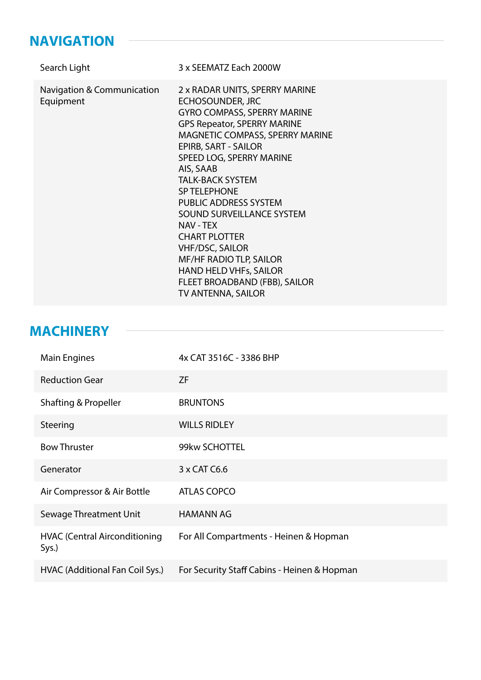### **NAVIGATION**

| Search Light                            | 3 x SEEMATZ Each 2000W                                                                                                                                                                                                                                                                                                                                                                                                                                                                                                                                   |
|-----------------------------------------|----------------------------------------------------------------------------------------------------------------------------------------------------------------------------------------------------------------------------------------------------------------------------------------------------------------------------------------------------------------------------------------------------------------------------------------------------------------------------------------------------------------------------------------------------------|
| Navigation & Communication<br>Equipment | 2 x RADAR UNITS, SPERRY MARINE<br><b>ECHOSOUNDER, JRC</b><br><b>GYRO COMPASS, SPERRY MARINE</b><br><b>GPS Repeator, SPERRY MARINE</b><br>MAGNETIC COMPASS, SPERRY MARINE<br>EPIRB, SART - SAILOR<br>SPEED LOG, SPERRY MARINE<br>AIS, SAAB<br><b>TALK-BACK SYSTEM</b><br><b>SP TELEPHONE</b><br><b>PUBLIC ADDRESS SYSTEM</b><br><b>SOUND SURVEILLANCE SYSTEM</b><br>NAV - TEX<br><b>CHART PLOTTER</b><br><b>VHF/DSC, SAILOR</b><br><b>MF/HF RADIO TLP, SAILOR</b><br><b>HAND HELD VHFs, SAILOR</b><br>FLEET BROADBAND (FBB), SAILOR<br>TV ANTENNA, SAILOR |

## **MACHINERY**

| <b>Main Engines</b>                           | 4x CAT 3516C - 3386 BHP                     |
|-----------------------------------------------|---------------------------------------------|
| <b>Reduction Gear</b>                         | <b>ZF</b>                                   |
| Shafting & Propeller                          | <b>BRUNTONS</b>                             |
| Steering                                      | <b>WILLS RIDLEY</b>                         |
| <b>Bow Thruster</b>                           | 99kw SCHOTTEL                               |
| Generator                                     | 3 x CAT C6.6                                |
| Air Compressor & Air Bottle                   | <b>ATLAS COPCO</b>                          |
| Sewage Threatment Unit                        | <b>HAMANN AG</b>                            |
| <b>HVAC (Central Airconditioning</b><br>Sys.) | For All Compartments - Heinen & Hopman      |
| HVAC (Additional Fan Coil Sys.)               | For Security Staff Cabins - Heinen & Hopman |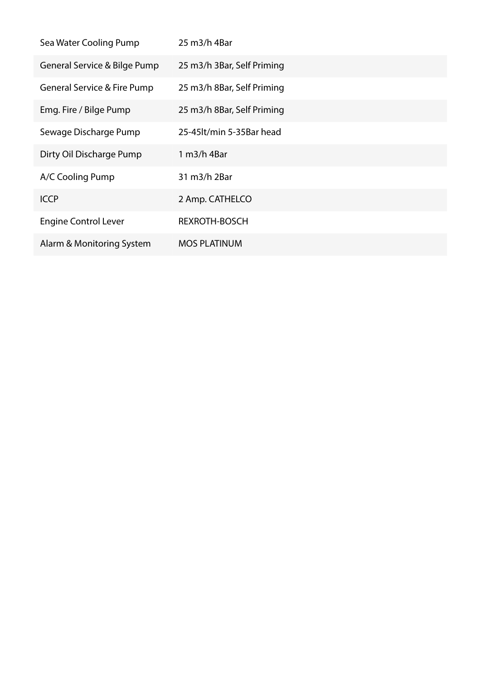| Sea Water Cooling Pump       | 25 m3/h 4Bar               |
|------------------------------|----------------------------|
| General Service & Bilge Pump | 25 m3/h 3Bar, Self Priming |
| General Service & Fire Pump  | 25 m3/h 8Bar, Self Priming |
| Emg. Fire / Bilge Pump       | 25 m3/h 8Bar, Self Priming |
| Sewage Discharge Pump        | 25-45lt/min 5-35Bar head   |
| Dirty Oil Discharge Pump     | 1 m3/h 4Bar                |
| A/C Cooling Pump             | 31 m3/h 2Bar               |
| <b>ICCP</b>                  | 2 Amp. CATHELCO            |
| <b>Engine Control Lever</b>  | <b>REXROTH-BOSCH</b>       |
| Alarm & Monitoring System    | <b>MOS PLATINUM</b>        |